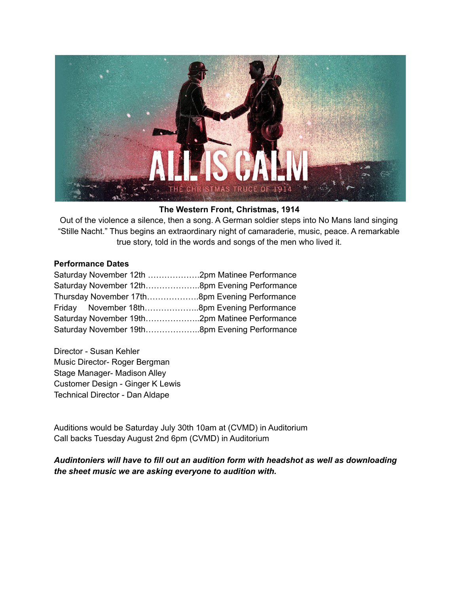

#### **The Western Front, Christmas, 1914**

Out of the violence a silence, then a song. A German soldier steps into No Mans land singing "Stille Nacht." Thus begins an extraordinary night of camaraderie, music, peace. A remarkable true story, told in the words and songs of the men who lived it.

#### **Performance Dates**

| Saturday November 12th  2pm Matinee Performance |  |
|-------------------------------------------------|--|
|                                                 |  |
| Thursday November 17th8pm Evening Performance   |  |
| Friday November 18th8pm Evening Performance     |  |
|                                                 |  |
|                                                 |  |

Director - Susan Kehler Music Director- Roger Bergman Stage Manager- Madison Alley Customer Design - Ginger K Lewis Technical Director - Dan Aldape

Auditions would be Saturday July 30th 10am at (CVMD) in Auditorium Call backs Tuesday August 2nd 6pm (CVMD) in Auditorium

*Audintoniers will have to fill out an audition form with headshot as well as downloading the sheet music we are asking everyone to audition with.*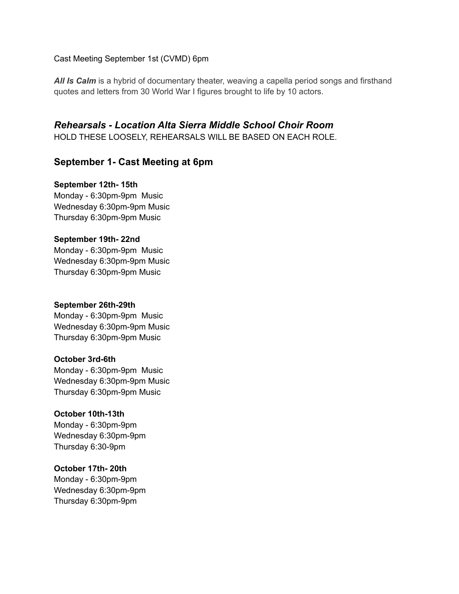Cast Meeting September 1st (CVMD) 6pm

*All Is Calm* is a hybrid of documentary theater, weaving a capella period songs and firsthand quotes and letters from 30 World War I figures brought to life by 10 actors.

*Rehearsals - Location Alta Sierra Middle School Choir Room*

HOLD THESE LOOSELY, REHEARSALS WILL BE BASED ON EACH ROLE.

# **September 1- Cast Meeting at 6pm**

#### **September 12th- 15th**

Monday - 6:30pm-9pm Music Wednesday 6:30pm-9pm Music Thursday 6:30pm-9pm Music

**September 19th- 22nd** Monday - 6:30pm-9pm Music Wednesday 6:30pm-9pm Music

Thursday 6:30pm-9pm Music

# **September 26th-29th**

Monday - 6:30pm-9pm Music Wednesday 6:30pm-9pm Music Thursday 6:30pm-9pm Music

#### **October 3rd-6th**

Monday - 6:30pm-9pm Music Wednesday 6:30pm-9pm Music Thursday 6:30pm-9pm Music

# **October 10th-13th**

Monday - 6:30pm-9pm Wednesday 6:30pm-9pm Thursday 6:30-9pm

#### **October 17th- 20th**

Monday - 6:30pm-9pm Wednesday 6:30pm-9pm Thursday 6:30pm-9pm